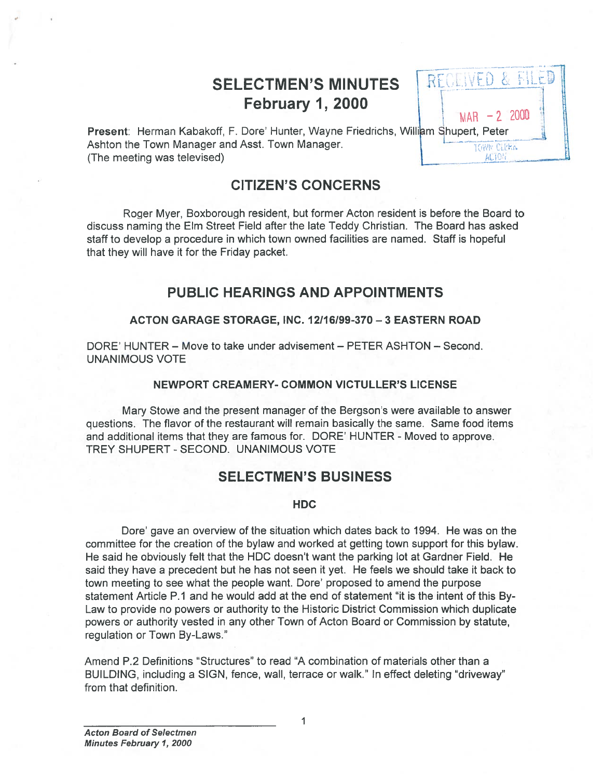# SELECTMEN'S MINUTES | REGENED & F February 1, 2000  $\frac{1}{MAP}$  –2 2000

REGEIVED & FILET

| Present: Herman Kabakoff, F. Dore' Hunter, Wayne Friedrichs, William Shupert, Peter |                   |
|-------------------------------------------------------------------------------------|-------------------|
| Ashton the Town Manager and Asst. Town Manager.                                     | <b>TOWN CIPRA</b> |
| (The meeting was televised)                                                         | AL10 <sup>2</sup> |

# CITIZEN'S CONCERNS

Roger Myer, Boxborough resident, but former Acton resident is before the Board to discuss naming the Elm Street Field after the late Teddy Christian. The Board has asked staff to develop <sup>a</sup> procedure in which town owned facilities are named. Staff is hopeful that they will have it for the Friday packet.

# PUBLIC HEARINGS AND APPOINTMENTS

### ACTON GARAGE STORAGE, INC. 12116/99-370—3 EASTERN ROAD

DORE' HUNTER — Move to take under advisement — PETER ASHTON — Second. UNANIMOUS VOTE

### NEWPORT CREAMERY- COMMON VICTULLER'S LICENSE

Mary Stowe and the presen<sup>t</sup> manager of the Bergson's were available to answer questions. The flavor of the restaurant will remain basically the same. Same food items and additional items that they are famous for. DORE' HUNTER - Moved to approve. TREY SHUPERT - SECOND. UNANIMOUS VOTE

# SELECTMEN'S BUSINESS

### HDC

Dore' gave an overview of the situation which dates back to 1994. He was on the committee for the creation of the bylaw and worked at getting town suppor<sup>t</sup> for this bylaw. He said he obviously felt that the HDC doesn't want the parking lot at Gardner Field. He said they have <sup>a</sup> precedent but he has not seen it yet. He feels we should take it back to town meeting to see what the people want. Dore' proposed to amend the purpose statement Article P.1 and he would add at the end of statement "it is the intent of this By Law to provide no powers or authority to the Historic District Commission which duplicate powers or authority vested in any other Town of Acton Board or Commission by statute, regulation or Town By-Laws."

Amend P.2 Definitions "Structures" to read "A combination of materials other than <sup>a</sup> BUILDING, including <sup>a</sup> SIGN, fence, wall, terrace or walk." In effect deleting "driveway" from that definition.

1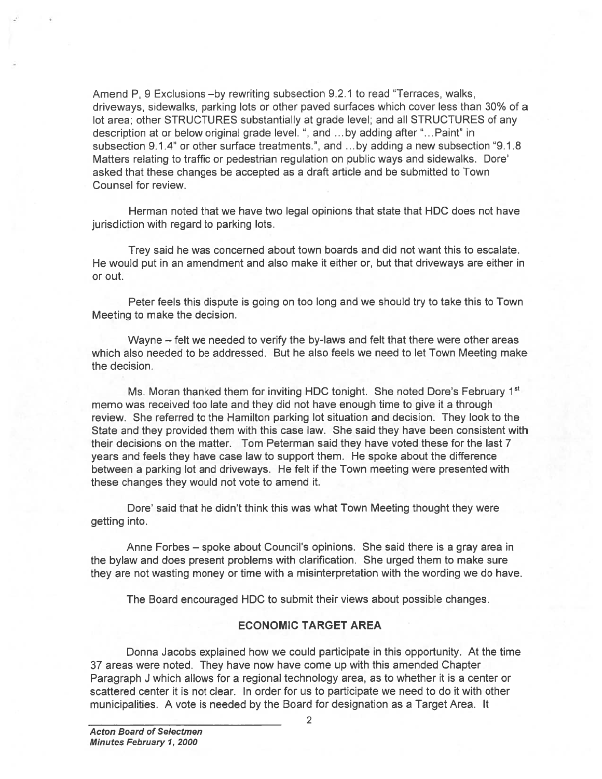Amend P, 9 Exclusions —by rewriting subsection 9.2.1 to read "Terraces, walks, driveways, sidewalks, parking lots or other paved surfaces which cover less than 30% of <sup>a</sup> lot area; other STRUCTURES substantially at grade level; and all STRUCTURES of any description at or below original grade level. ", and .. . by adding after "...Paint" in subsection 9.1.4" or other surface treatments.", and ...by adding <sup>a</sup> new subsection "9.1.8 Matters relating to traffic or pedestrian regulation on public ways and sidewalks. Dote' asked that these changes be accepted as <sup>a</sup> draft article and be submitted to Town Counsel for review.

Herman noted that we have two legal opinions that state that HDC does not have jurisdiction with regard to parking lots.

Trey said he was concerned about town boards and did not want this to escalate. He would pu<sup>t</sup> in an amendment and also make it either or, but that driveways are either in or out.

Peter feels this dispute is going on too long and we should try to take this to Town Meeting to make the decision.

Wayne — felt we needed to verify the by-laws and felt that there were other areas which also needed to be addressed. But he also feels we need to let Town Meeting make the decision.

Ms. Moran thanked them for inviting HDC tonight. She noted Dore's February 1<sup>st</sup> memo was received too late and they did not have enough time to give it <sup>a</sup> through review. She referred to the Hamilton parking lot situation and decision. They look to the State and they provided them with this case law. She said they have been consistent with their decisions on the matter. Tom Peterman said they have voted these for the last 7 years and feels they have case law to suppor<sup>t</sup> them. He spoke about the difference between <sup>a</sup> parking lot and driveways. He felt if the Town meeting were presented with these changes they would not vote to amend it.

Dore' said that he didn't think this was what Town Meeting thought they were getting into.

Anne Forbes — spoke about Council's opinions. She said there is <sup>a</sup> gray area in the bylaw and does presen<sup>t</sup> problems with clarification. She urged them to make sure they are not wasting money or time with <sup>a</sup> misinterpretation with the wording we do have.

The Board encouraged HDC to submit their views about possible changes.

#### ECONOMIC TARGET AREA

Donna Jacobs explained how we could participate in this opportunity. At the time 37 areas were noted. They have now have come up with this amended Chapter Paragraph J which allows for <sup>a</sup> regional technology area, as to whether it is <sup>a</sup> center or scattered center it is not clear. In order for us to participate we need to do it with other municipalities. A vote is needed by the Board for designation as <sup>a</sup> Target Area. It

2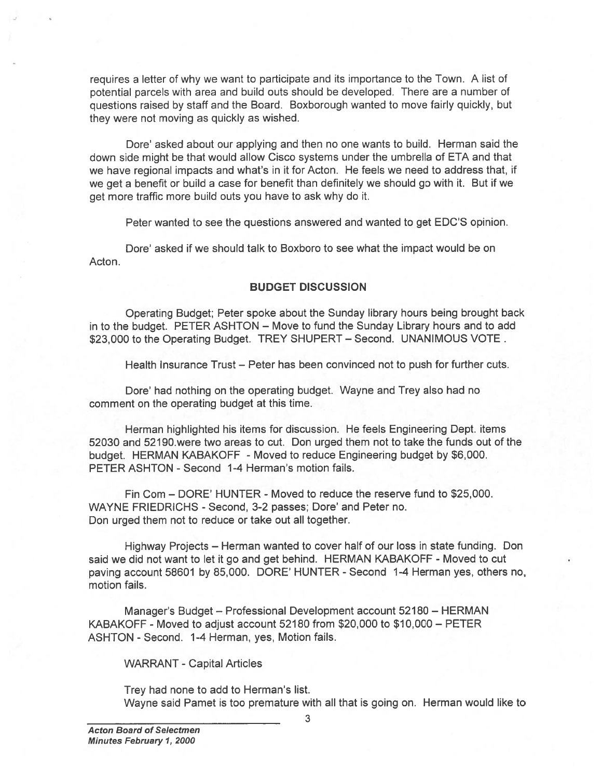requires <sup>a</sup> letter of why we want to participate and its importance to the Town. A list of potential parcels with area and build outs should be developed. There are <sup>a</sup> number of questions raised by staff and the Board. Boxborough wanted to move fairly quickly, but they were not moving as quickly as wished.

Dore' asked about our applying and then no one wants to build. Herman said the down side might be that would allow Cisco systems under the umbrella of ETA and that we have regional impacts and what's in it for Acton. He feels we need to address that, if we ge<sup>t</sup> <sup>a</sup> benefit or build <sup>a</sup> case for benefit than definitely we should go with it. But if we ge<sup>t</sup> more traffic more build outs you have to ask why do it.

Peter wanted to see the questions answered and wanted to ge<sup>t</sup> EDC'S opinion.

Dore' asked if we should talk to Boxboro to see what the impact would be on Acton.

### BUDGET DISCUSSION

Operating Budget; Peter spoke about the Sunday library hours being brought back in to the budget. PETER ASHTON — Move to fund the Sunday Library hours and to add \$23,000 to the Operating Budget. TREY SHUPERT - Second. UNANIMOUS VOTE.

Health Insurance Trust — Peter has been convinced not to push for further cuts.

Dote' had nothing on the operating budget. Wayne and Trey also had no comment on the operating budget at this time.

Herman highlighted his items for discussion. He feels Engineering Dept. items 52030 and 52190, were two areas to cut. Don urged them not to take the funds out of the budget. HERMAN KABAKOFF - Moved to reduce Engineering budget by \$6,000. PETER ASHTON - Second 1-4 Herman's motion fails.

Fin Com – DORE' HUNTER - Moved to reduce the reserve fund to \$25,000. WAYNE FRIEDRICHS - Second, 3-2 passes; Dore' and Peter no. Don urged them not to reduce or take out all together.

Highway Projects — Herman wanted to cover half of our loss in state funding. Don said we did not want to let it go and get behind. HERMAN KABAKOFF - Moved to cut paving account 58601 by 85,000. DORE' HUNTER - Second 1-4 Herman yes, others no, motion fails.

Manager's Budget — Professional Development account 52180 — HERMAN KABAKOFF -Moved to adjust account 52180 from \$20,000 to \$10,000— PETER ASHTON - Second. 1-4 Herman, yes, Motion fails.

WARRANT -Capital Articles

Trey had none to add to Herman's list. Wayne said Pamet is too premature with all that is going on. Herman would like to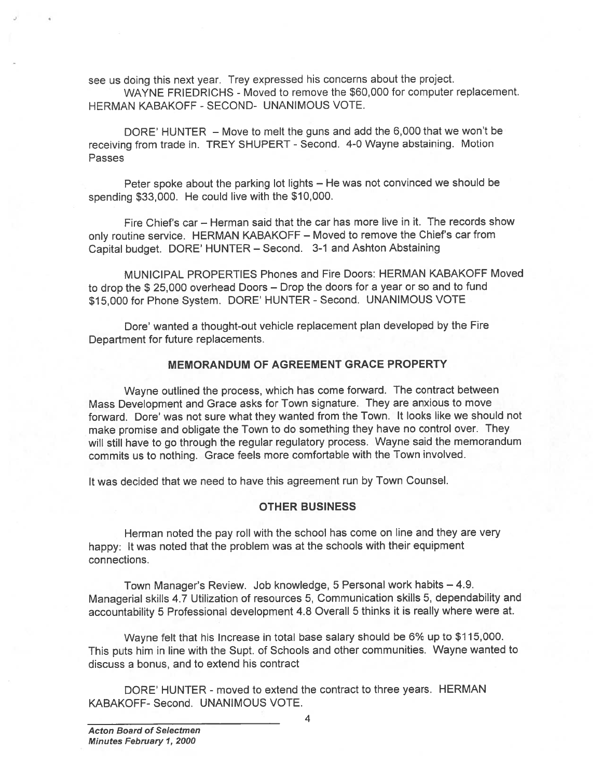see us doing this next year. Trey expresse<sup>d</sup> his concerns about the project.

WAYNE FRIEDRICHS - Moved to remove the \$60,000 for computer replacement. HERMAN KABAKOFF -SECOND- UNANIMOUS VOTE.

DORE' HUNTER — Move to melt the guns and add the 6,000 that we won't be receiving from trade in. TREY SHUPERT - Second. 4-0 Wayne abstaining. Motion Passes

Peter spoke about the parking lot lights — He was not convinced we should be spending \$33,000. He could live with the \$10,000.

Fire Chief's car — Herman said that the car has more live in it. The records show only routine service. HERMAN KABAKOFF — Moved to remove the Chief's car from Capital budget. DORE' HUNTER — Second. 3-1 and Ashton Abstaining

MUNICIPAL PROPERTIES Phones and Fire Doors: HERMAN KABAKOFF Moved to drop the \$ 25,000 overhead Doors — Drop the doors for <sup>a</sup> year or so and to fund \$15,000 for Phone System. DORE' HUNTER - Second. UNANIMOUS VOTE

Dore' wanted <sup>a</sup> thought-out vehicle replacement <sup>p</sup>lan developed by the Fire Department for future replacements.

### MEMORANDUM OF AGREEMENT GRACE PROPERTY

Wayne outlined the process, which has come forward. The contract between Mass Development and Grace asks for Town signature. They are anxious to move forward. Dore' was not sure what they wanted from the Town. It looks like we should not make promise and obligate the Town to do something they have no control over. They will still have to go through the regular regulatory process. Wayne said the memorandum commits us to nothing. Grace feels more comfortable with the Town involved.

It was decided that we need to have this agreemen<sup>t</sup> run by Town Counsel.

### OTHER BUSINESS

Herman noted the pay roll with the school has come on line and they are very happy: It was noted that the problem was at the schools with their equipment connections.

Town Manager's Review. Job knowledge, <sup>5</sup> Personal work habits — 4.9. Managerial skills 4.7 Utilization of resources 5, Communication skills 5, dependability and accountability <sup>5</sup> Professional development 4.8 Overall <sup>5</sup> thinks it is really where were at.

Wayne felt that his Increase in total base salary should be 6% up to \$115,000. This puts him in line with the Supt. of Schools and other communities. Wayne wanted to discuss <sup>a</sup> bonus, and to extend his contract

DORE' HUNTER - moved to extend the contract to three years. HERMAN KABAKOFF- Second. UNANIMOUS VOTE.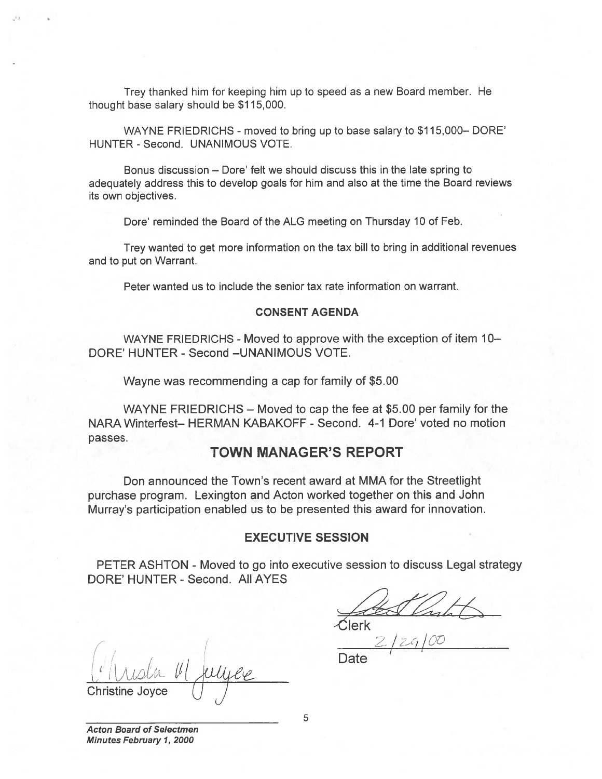Trey thanked him for keeping him up to speed as a new Board member. He thought base salary should be \$1 15,000.

WAYNE FRIEDRICHS - moved to bring up to base salary to \$115,000-DORE' HUNTER - Second. UNANIMOUS VOTE.

Bonus discussion — Dore' felt we should discuss this in the late spring to adequately address this to develop goals for him and also at the time the Board reviews its own objectives.

Dore' reminded the Board of the ALG meeting on Thursday 10 of Feb.

Trey wanted to ge<sup>t</sup> more information on the tax bill to bring in additional revenues and to pu<sup>t</sup> on Warrant.

Peter wanted us to include the senior tax rate information on warrant.

### CONSENT AGENDA

WAYNE FRIEDRICHS - Moved to approve with the exception of item  $10-$ DORE' HUNTER - Second -UNANIMOUS VOTE.

Wayne was recommending <sup>a</sup> cap for family of \$5.00

WAYNE FRIEDRICHS — Moved to cap the fee at \$5.00 per family for the NARA Winterfest— HERMAN KABAKOFF - Second. 4-1 Dore' voted no motion passes. Trey thanked him for keeping him up to speed as a<br>sught base salary should be \$115,000.<br>WAYNE FRIEDRICHS - moved to bring up to base<br>streudarly address this to develop goals for him and also<br>soun objectives.<br>Dore' reminded

# TOWN MANAGER'S REPORT

Don announced the Town's recent award at MMA for the Streetlight purchase program. Lexington and Acton worked together on this and John Murray's participation enabled us to be presented this award for innovation.

## EXECUTIVE SESSION

PETER ASHTON - Moved to go into executive session to discuss Legal strategy DORE' HUNTER - Second. All AYES

Clerk

<u>l'Il religie</u> Christine Joyce  $\bigcup$ 

Acton Board of Selectmen Minutes February 1, 2000

5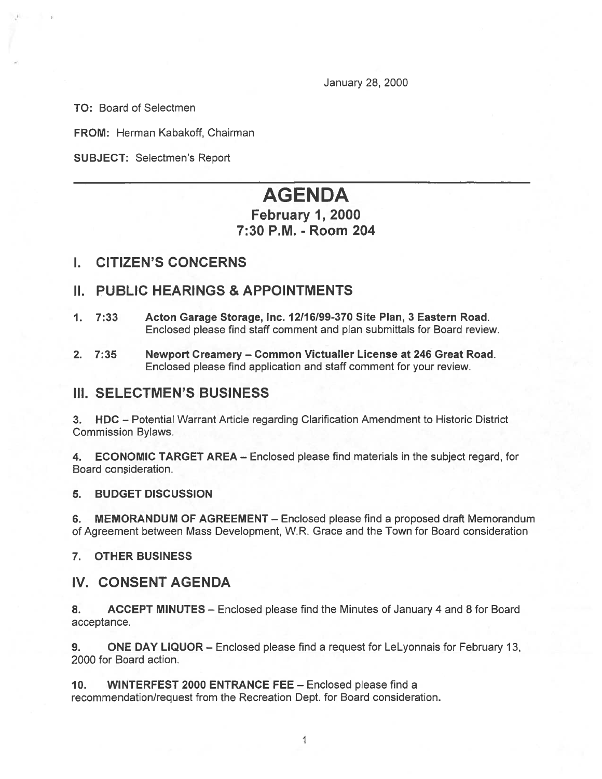January 28, 2000

TO: Board of Selectmen

FROM: Herman Kabakoff, Chairman

SUBJECT: Selectmen's Report

# AGENDA

# February 1, 2000 7:30 P.M. -Room 204

# I. CITIZEN'S CONCERNS

# II. PUBLIC HEARINGS & APPOINTMENTS

- 1. 7:33 Acton Garage Storage, Inc. 12116199-370 Site Plan, 3 Eastern Road. Enclosed please find staff comment and plan submittals for Board review.
- 2. 7:35 Newport Creamery Common Victualler License at 246 Great Road. Enclosed please find application and staff comment for your review.

# III. SELECTMEN'S BUSINESS

3. HDC — Potential Warrant Article regarding Clarification Amendment to Historic District Commission Bylaws.

4. ECONOMIC TARGET AREA — Enclosed please find materials in the subject regard, for Board consideration.

5. BUDGET DISCUSSION

6. MEMORANDUM OF AGREEMENT - Enclosed please find a proposed draft Memorandum of Agreement between Mass Development, W.R. Grace and the Town for Board consideration

7. OTHER BUSINESS

# IV. CONSENT AGENDA

8. ACCEPT MINUTES — Enclosed please find the Minutes of January 4 and 8 for Board acceptance.

9. ONE DAY LIQUOR — Enclosed please find <sup>a</sup> reques<sup>t</sup> for LeLyonnais for February 13, 2000 for Board action.

10. WINTERFEST 2000 ENTRANCE FEE — Enclosed please find <sup>a</sup> recommendation/request from the Recreation Dept. for Board consideration.